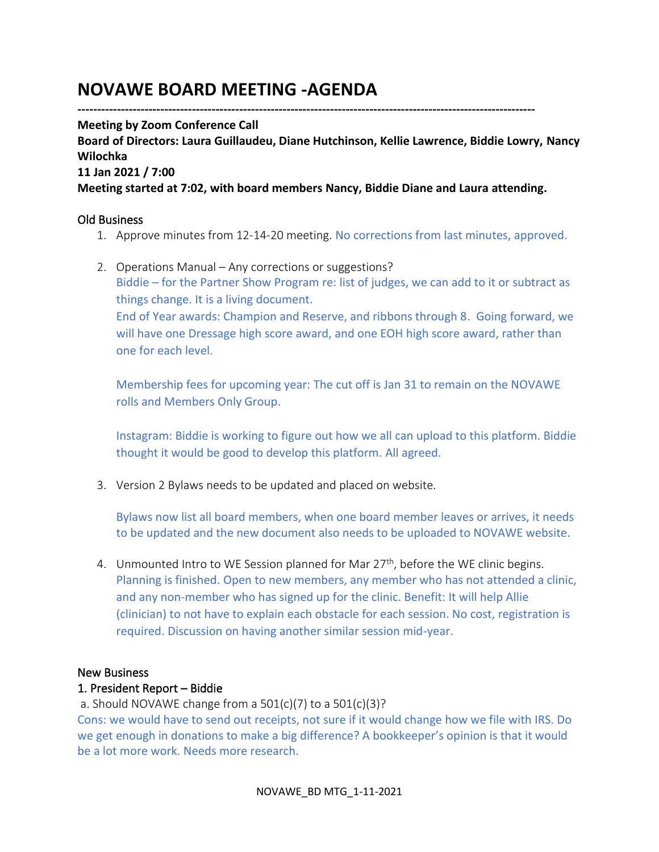# **NOVAWE BOARD MEETING -AGENDA**

**--------------------------------------------------------------------------------------------------------------------**

#### **Meeting by Zoom Conference Call**

**Board of Directors: Laura Guillaudeu, Diane Hutchinson, Kellie Lawrence, Biddie Lowry, Nancy Wilochka**

**11 Jan 2021 / 7:00**

**Meeting started at 7:02, with board members Nancy, Biddie Diane and Laura attending.**

## Old Business

- 1. Approve minutes from 12-14-20 meeting. No corrections from last minutes, approved.
- 2. Operations Manual Any corrections or suggestions? Biddie – for the Partner Show Program re: list of judges, we can add to it or subtract as things change. It is a living document.

End of Year awards: Champion and Reserve, and ribbons through 8. Going forward, we will have one Dressage high score award, and one EOH high score award, rather than one for each level.

Membership fees for upcoming year: The cut off is Jan 31 to remain on the NOVAWE rolls and Members Only Group.

Instagram: Biddie is working to figure out how we all can upload to this platform. Biddie thought it would be good to develop this platform. All agreed.

3. Version 2 Bylaws needs to be updated and placed on website.

Bylaws now list all board members, when one board member leaves or arrives, it needs to be updated and the new document also needs to be uploaded to NOVAWE website.

4. Unmounted Intro to WE Session planned for Mar  $27<sup>th</sup>$ , before the WE clinic begins. Planning is finished. Open to new members, any member who has not attended a clinic, and any non-member who has signed up for the clinic. Benefit: It will help Allie (clinician) to not have to explain each obstacle for each session. No cost, registration is required. Discussion on having another similar session mid-year.

#### New Business

#### 1. President Report – Biddie

a. Should NOVAWE change from a  $501(c)(7)$  to a  $501(c)(3)?$ 

Cons: we would have to send out receipts, not sure if it would change how we file with IRS. Do we get enough in donations to make a big difference? A bookkeeper's opinion is that it would be a lot more work. Needs more research.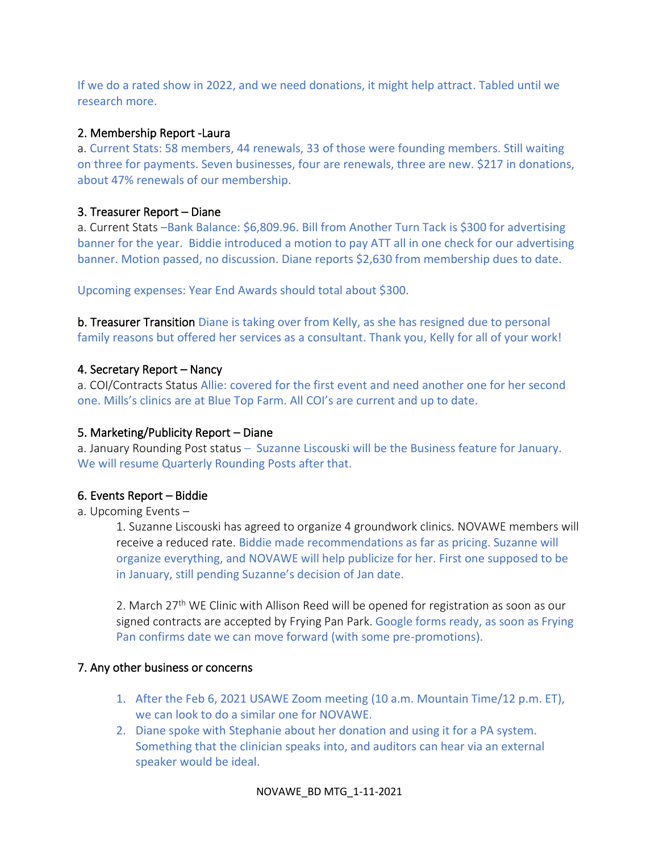If we do a rated show in 2022, and we need donations, it might help attract. Tabled until we research more.

# 2. Membership Report -Laura

a. Current Stats: 58 members, 44 renewals, 33 of those were founding members. Still waiting on three for payments. Seven businesses, four are renewals, three are new. \$217 in donations, about 47% renewals of our membership.

## 3. Treasurer Report – Diane

a. Current Stats –Bank Balance: \$6,809.96. Bill from Another Turn Tack is \$300 for advertising banner for the year. Biddie introduced a motion to pay ATT all in one check for our advertising banner. Motion passed, no discussion. Diane reports \$2,630 from membership dues to date.

Upcoming expenses: Year End Awards should total about \$300.

b. Treasurer Transition Diane is taking over from Kelly, as she has resigned due to personal family reasons but offered her services as a consultant. Thank you, Kelly for all of your work!

## 4. Secretary Report – Nancy

a. COI/Contracts Status Allie: covered for the first event and need another one for her second one. Mills's clinics are at Blue Top Farm. All COI's are current and up to date.

# 5. Marketing/Publicity Report – Diane

a. January Rounding Post status – Suzanne Liscouski will be the Business feature for January. We will resume Quarterly Rounding Posts after that.

# 6. Events Report – Biddie

a. Upcoming Events –

1. Suzanne Liscouski has agreed to organize 4 groundwork clinics. NOVAWE members will receive a reduced rate. Biddie made recommendations as far as pricing. Suzanne will organize everything, and NOVAWE will help publicize for her. First one supposed to be in January, still pending Suzanne's decision of Jan date.

2. March 27<sup>th</sup> WE Clinic with Allison Reed will be opened for registration as soon as our signed contracts are accepted by Frying Pan Park. Google forms ready, as soon as Frying Pan confirms date we can move forward (with some pre-promotions).

#### 7. Any other business or concerns

- 1. After the Feb 6, 2021 USAWE Zoom meeting (10 a.m. Mountain Time/12 p.m. ET), we can look to do a similar one for NOVAWE.
- 2. Diane spoke with Stephanie about her donation and using it for a PA system. Something that the clinician speaks into, and auditors can hear via an external speaker would be ideal.

#### NOVAWE\_BD MTG\_1-11-2021